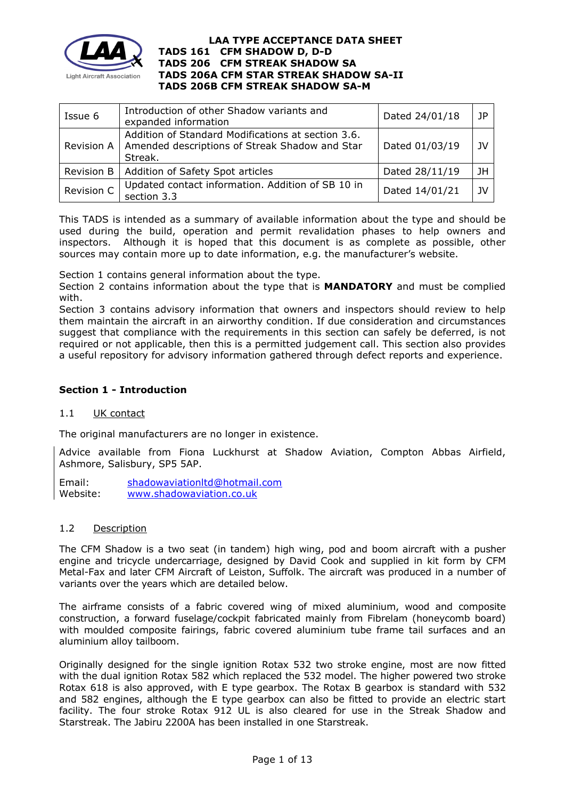

| Issue 6    | Introduction of other Shadow variants and<br>expanded information                                               | Dated 24/01/18 | JP        |
|------------|-----------------------------------------------------------------------------------------------------------------|----------------|-----------|
| Revision A | Addition of Standard Modifications at section 3.6.<br>Amended descriptions of Streak Shadow and Star<br>Streak. | Dated 01/03/19 | JV        |
| Revision B | Addition of Safety Spot articles                                                                                | Dated 28/11/19 | 1H        |
| Revision C | Updated contact information. Addition of SB 10 in<br>section 3.3                                                | Dated 14/01/21 | <b>JV</b> |

This TADS is intended as a summary of available information about the type and should be used during the build, operation and permit revalidation phases to help owners and inspectors. Although it is hoped that this document is as complete as possible, other sources may contain more up to date information, e.g. the manufacturer's website.

Section 1 contains general information about the type.

Section 2 contains information about the type that is **MANDATORY** and must be complied with.

Section 3 contains advisory information that owners and inspectors should review to help them maintain the aircraft in an airworthy condition. If due consideration and circumstances suggest that compliance with the requirements in this section can safely be deferred, is not required or not applicable, then this is a permitted judgement call. This section also provides a useful repository for advisory information gathered through defect reports and experience.

# **Section 1 - Introduction**

# 1.1 UK contact

The original manufacturers are no longer in existence.

Advice available from Fiona Luckhurst at Shadow Aviation, Compton Abbas Airfield, Ashmore, Salisbury, SP5 5AP.

Email: [shadowaviationltd@hotmail.com](mailto:shadowaviationltd@hotmail.com) Website: [www.shadowaviation.co.uk](http://www.shadowaviation.co.uk/)

### 1.2 Description

The CFM Shadow is a two seat (in tandem) high wing, pod and boom aircraft with a pusher engine and tricycle undercarriage, designed by David Cook and supplied in kit form by CFM Metal-Fax and later CFM Aircraft of Leiston, Suffolk. The aircraft was produced in a number of variants over the years which are detailed below.

The airframe consists of a fabric covered wing of mixed aluminium, wood and composite construction, a forward fuselage/cockpit fabricated mainly from Fibrelam (honeycomb board) with moulded composite fairings, fabric covered aluminium tube frame tail surfaces and an aluminium alloy tailboom.

Originally designed for the single ignition Rotax 532 two stroke engine, most are now fitted with the dual ignition Rotax 582 which replaced the 532 model. The higher powered two stroke Rotax 618 is also approved, with E type gearbox. The Rotax B gearbox is standard with 532 and 582 engines, although the E type gearbox can also be fitted to provide an electric start facility. The four stroke Rotax 912 UL is also cleared for use in the Streak Shadow and Starstreak. The Jabiru 2200A has been installed in one Starstreak.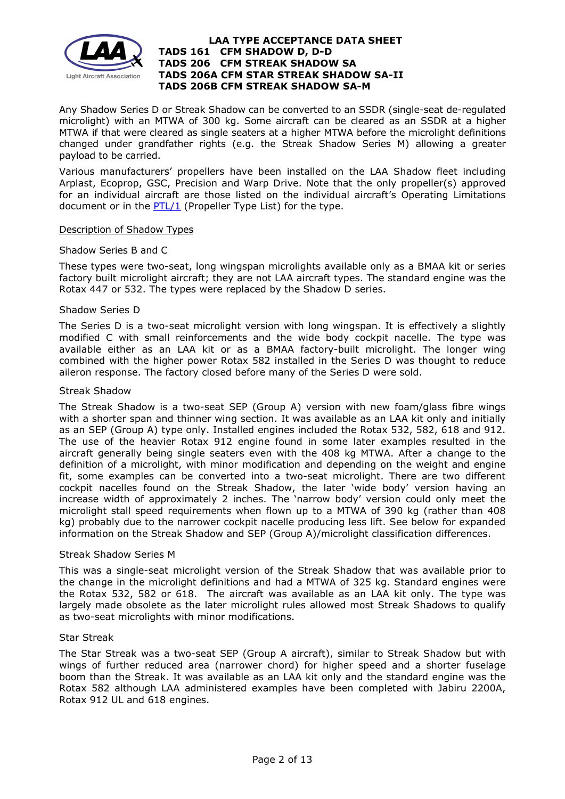

Any Shadow Series D or Streak Shadow can be converted to an SSDR (single-seat de-regulated microlight) with an MTWA of 300 kg. Some aircraft can be cleared as an SSDR at a higher MTWA if that were cleared as single seaters at a higher MTWA before the microlight definitions changed under grandfather rights (e.g. the Streak Shadow Series M) allowing a greater payload to be carried.

Various manufacturers' propellers have been installed on the LAA Shadow fleet including Arplast, Ecoprop, GSC, Precision and Warp Drive. Note that the only propeller(s) approved for an individual aircraft are those listed on the individual aircraft's Operating Limitations document or in the  $PTL/1$  (Propeller Type List) for the type.

### Description of Shadow Types

#### Shadow Series B and C

These types were two-seat, long wingspan microlights available only as a BMAA kit or series factory built microlight aircraft; they are not LAA aircraft types. The standard engine was the Rotax 447 or 532. The types were replaced by the Shadow D series.

### Shadow Series D

The Series D is a two-seat microlight version with long wingspan. It is effectively a slightly modified C with small reinforcements and the wide body cockpit nacelle. The type was available either as an LAA kit or as a BMAA factory-built microlight. The longer wing combined with the higher power Rotax 582 installed in the Series D was thought to reduce aileron response. The factory closed before many of the Series D were sold.

#### Streak Shadow

The Streak Shadow is a two-seat SEP (Group A) version with new foam/glass fibre wings with a shorter span and thinner wing section. It was available as an LAA kit only and initially as an SEP (Group A) type only. Installed engines included the Rotax 532, 582, 618 and 912. The use of the heavier Rotax 912 engine found in some later examples resulted in the aircraft generally being single seaters even with the 408 kg MTWA. After a change to the definition of a microlight, with minor modification and depending on the weight and engine fit, some examples can be converted into a two-seat microlight. There are two different cockpit nacelles found on the Streak Shadow, the later 'wide body' version having an increase width of approximately 2 inches. The 'narrow body' version could only meet the microlight stall speed requirements when flown up to a MTWA of 390 kg (rather than 408 kg) probably due to the narrower cockpit nacelle producing less lift. See below for expanded information on the Streak Shadow and SEP (Group A)/microlight classification differences.

#### Streak Shadow Series M

This was a single-seat microlight version of the Streak Shadow that was available prior to the change in the microlight definitions and had a MTWA of 325 kg. Standard engines were the Rotax 532, 582 or 618. The aircraft was available as an LAA kit only. The type was largely made obsolete as the later microlight rules allowed most Streak Shadows to qualify as two-seat microlights with minor modifications.

#### Star Streak

The Star Streak was a two-seat SEP (Group A aircraft), similar to Streak Shadow but with wings of further reduced area (narrower chord) for higher speed and a shorter fuselage boom than the Streak. It was available as an LAA kit only and the standard engine was the Rotax 582 although LAA administered examples have been completed with Jabiru 2200A, Rotax 912 UL and 618 engines.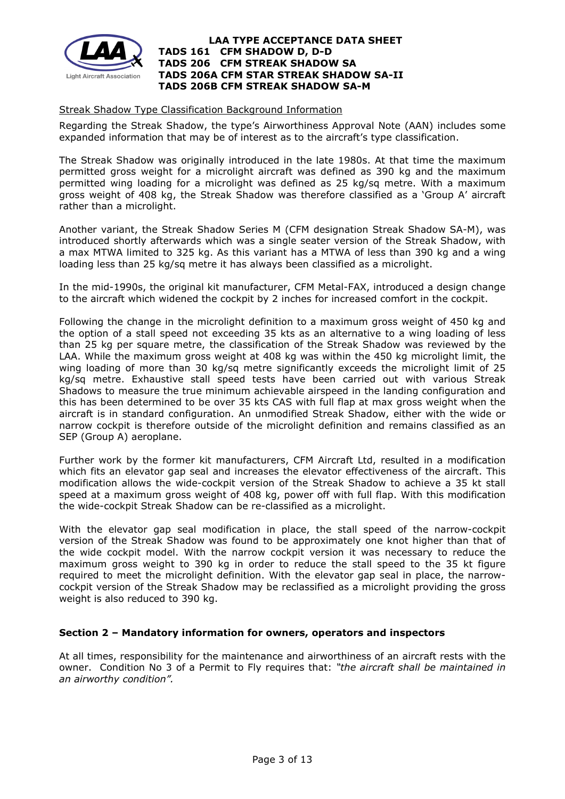

### Streak Shadow Type Classification Background Information

Regarding the Streak Shadow, the type's Airworthiness Approval Note (AAN) includes some expanded information that may be of interest as to the aircraft's type classification.

The Streak Shadow was originally introduced in the late 1980s. At that time the maximum permitted gross weight for a microlight aircraft was defined as 390 kg and the maximum permitted wing loading for a microlight was defined as 25 kg/sq metre. With a maximum gross weight of 408 kg, the Streak Shadow was therefore classified as a 'Group A' aircraft rather than a microlight.

Another variant, the Streak Shadow Series M (CFM designation Streak Shadow SA-M), was introduced shortly afterwards which was a single seater version of the Streak Shadow, with a max MTWA limited to 325 kg. As this variant has a MTWA of less than 390 kg and a wing loading less than 25 kg/sq metre it has always been classified as a microlight.

In the mid-1990s, the original kit manufacturer, CFM Metal-FAX, introduced a design change to the aircraft which widened the cockpit by 2 inches for increased comfort in the cockpit.

Following the change in the microlight definition to a maximum gross weight of 450 kg and the option of a stall speed not exceeding 35 kts as an alternative to a wing loading of less than 25 kg per square metre, the classification of the Streak Shadow was reviewed by the LAA. While the maximum gross weight at 408 kg was within the 450 kg microlight limit, the wing loading of more than 30 kg/sq metre significantly exceeds the microlight limit of 25 kg/sq metre. Exhaustive stall speed tests have been carried out with various Streak Shadows to measure the true minimum achievable airspeed in the landing configuration and this has been determined to be over 35 kts CAS with full flap at max gross weight when the aircraft is in standard configuration. An unmodified Streak Shadow, either with the wide or narrow cockpit is therefore outside of the microlight definition and remains classified as an SEP (Group A) aeroplane.

Further work by the former kit manufacturers, CFM Aircraft Ltd, resulted in a modification which fits an elevator gap seal and increases the elevator effectiveness of the aircraft. This modification allows the wide-cockpit version of the Streak Shadow to achieve a 35 kt stall speed at a maximum gross weight of 408 kg, power off with full flap. With this modification the wide-cockpit Streak Shadow can be re-classified as a microlight.

With the elevator gap seal modification in place, the stall speed of the narrow-cockpit version of the Streak Shadow was found to be approximately one knot higher than that of the wide cockpit model. With the narrow cockpit version it was necessary to reduce the maximum gross weight to 390 kg in order to reduce the stall speed to the 35 kt figure required to meet the microlight definition. With the elevator gap seal in place, the narrowcockpit version of the Streak Shadow may be reclassified as a microlight providing the gross weight is also reduced to 390 kg.

### **Section 2 – Mandatory information for owners, operators and inspectors**

At all times, responsibility for the maintenance and airworthiness of an aircraft rests with the owner. Condition No 3 of a Permit to Fly requires that: *"the aircraft shall be maintained in an airworthy condition".*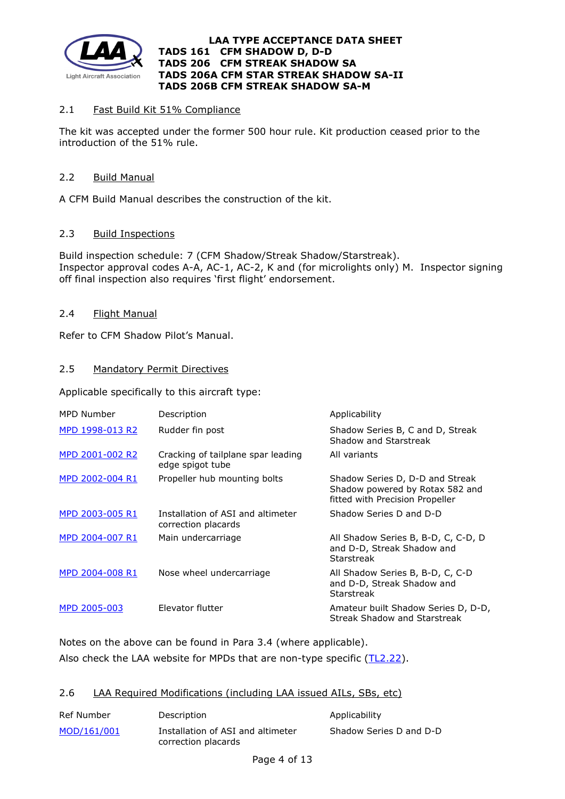

# 2.1 Fast Build Kit 51% Compliance

The kit was accepted under the former 500 hour rule. Kit production ceased prior to the introduction of the 51% rule.

## 2.2 Build Manual

A CFM Build Manual describes the construction of the kit.

## 2.3 Build Inspections

Build inspection schedule: 7 (CFM Shadow/Streak Shadow/Starstreak). Inspector approval codes A-A, AC-1, AC-2, K and (for microlights only) M. Inspector signing off final inspection also requires 'first flight' endorsement.

# 2.4 Flight Manual

Refer to CFM Shadow Pilot's Manual.

# 2.5 Mandatory Permit Directives

Applicable specifically to this aircraft type:

| MPD Number      | Description                                              | Applicability                                                                                         |
|-----------------|----------------------------------------------------------|-------------------------------------------------------------------------------------------------------|
| MPD 1998-013 R2 | Rudder fin post                                          | Shadow Series B, C and D, Streak<br>Shadow and Starstreak                                             |
| MPD 2001-002 R2 | Cracking of tailplane spar leading<br>edge spigot tube   | All variants                                                                                          |
| MPD 2002-004 R1 | Propeller hub mounting bolts                             | Shadow Series D, D-D and Streak<br>Shadow powered by Rotax 582 and<br>fitted with Precision Propeller |
| MPD 2003-005 R1 | Installation of ASI and altimeter<br>correction placards | Shadow Series D and D-D                                                                               |
| MPD 2004-007 R1 | Main undercarriage                                       | All Shadow Series B, B-D, C, C-D, D<br>and D-D, Streak Shadow and<br>Starstreak                       |
| MPD 2004-008 R1 | Nose wheel undercarriage                                 | All Shadow Series B, B-D, C, C-D<br>and D-D, Streak Shadow and<br>Starstreak                          |
| MPD 2005-003    | Elevator flutter                                         | Amateur built Shadow Series D, D-D,<br>Streak Shadow and Starstreak                                   |

Notes on the above can be found in Para 3.4 (where applicable).

Also check the LAA website for MPDs that are non-type specific [\(TL2.22\)](http://www.lightaircraftassociation.co.uk/engineering/TechnicalLeaflets/Operating%20An%20Aircraft/TL%202.22%20non-type%20specific%20MPDs.pdf).

### 2.6 LAA Required Modifications (including LAA issued AILs, SBs, etc)

| Ref Number  | Description                                              | Applicability           |
|-------------|----------------------------------------------------------|-------------------------|
| MOD/161/001 | Installation of ASI and altimeter<br>correction placards | Shadow Series D and D-D |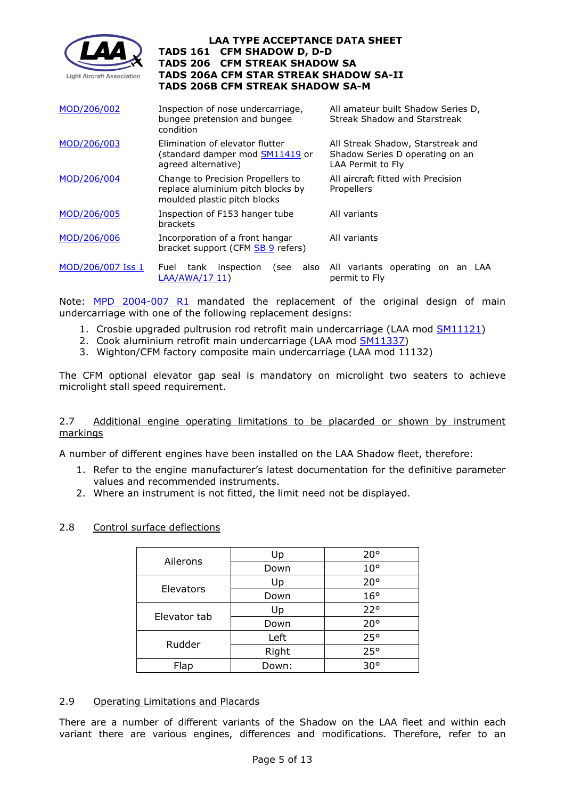

| MOD/206/002       | Inspection of nose undercarriage,<br>bungee pretension and bungee<br>condition                         | All amateur built Shadow Series D,<br>Streak Shadow and Starstreak                        |  |  |
|-------------------|--------------------------------------------------------------------------------------------------------|-------------------------------------------------------------------------------------------|--|--|
| MOD/206/003       | Elimination of elevator flutter<br>(standard damper mod <u>SM11419</u> or<br>agreed alternative)       | All Streak Shadow, Starstreak and<br>Shadow Series D operating on an<br>LAA Permit to Fly |  |  |
| MOD/206/004       | Change to Precision Propellers to<br>replace aluminium pitch blocks by<br>moulded plastic pitch blocks | All aircraft fitted with Precision<br>Propellers                                          |  |  |
| MOD/206/005       | Inspection of F153 hanger tube<br>brackets                                                             | All variants                                                                              |  |  |
| MOD/206/006       | Incorporation of a front hangar<br>bracket support (CFM SB 9 refers)                                   | All variants                                                                              |  |  |
| MOD/206/007 Iss 1 | tank<br>inspection<br>also<br>Fuel<br>(see<br>LAA/AWA/17 11)                                           | All variants operating on an LAA<br>permit to Fly                                         |  |  |

Note: [MPD 2004-007 R1](http://www.lightaircraftassociation.co.uk/engineering/TADs/206/2004-007r1.pdf) mandated the replacement of the original design of main undercarriage with one of the following replacement designs:

- 1. Crosbie upgraded pultrusion rod retrofit main undercarriage (LAA mod [SM11121\)](http://www.lightaircraftassociation.co.uk/engineering/TADs/206/206_Crosbie%20Shadow_SM11121.pdf)
- 2. Cook aluminium retrofit main undercarriage (LAA mod [SM11337\)](http://www.lightaircraftassociation.co.uk/engineering/TADs/206/206_CFM%20Streak%20Shadow%20SM11337.pdf)
- 3. Wighton/CFM factory composite main undercarriage (LAA mod 11132)

The CFM optional elevator gap seal is mandatory on microlight two seaters to achieve microlight stall speed requirement.

### 2.7 Additional engine operating limitations to be placarded or shown by instrument markings

A number of different engines have been installed on the LAA Shadow fleet, therefore:

- 1. Refer to the engine manufacturer's latest documentation for the definitive parameter values and recommended instruments.
- 2. Where an instrument is not fitted, the limit need not be displayed.

### 2.8 Control surface deflections

|              | Up    | $20^{\circ}$ |
|--------------|-------|--------------|
| Ailerons     | Down  | $10^{\circ}$ |
|              | Up    | $20^{\circ}$ |
| Elevators    | Down  | 16°          |
| Elevator tab | Up    | 22°          |
|              | Down  | $20^{\circ}$ |
| Rudder       | Left  | 25°          |
|              | Right | 25°          |
| Flap         | Down: | $30^{\circ}$ |

### 2.9 Operating Limitations and Placards

There are a number of different variants of the Shadow on the LAA fleet and within each variant there are various engines, differences and modifications. Therefore, refer to an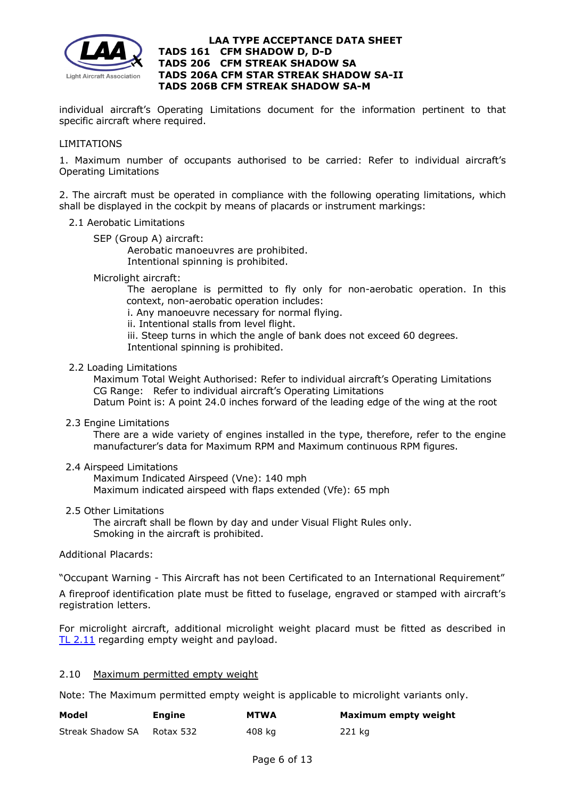

individual aircraft's Operating Limitations document for the information pertinent to that specific aircraft where required.

### LIMITATIONS

1. Maximum number of occupants authorised to be carried: Refer to individual aircraft's Operating Limitations

2. The aircraft must be operated in compliance with the following operating limitations, which shall be displayed in the cockpit by means of placards or instrument markings:

- 2.1 Aerobatic Limitations
	- SEP (Group A) aircraft:

Aerobatic manoeuvres are prohibited. Intentional spinning is prohibited.

Microlight aircraft:

The aeroplane is permitted to fly only for non-aerobatic operation. In this context, non-aerobatic operation includes:

i. Any manoeuvre necessary for normal flying.

- ii. Intentional stalls from level flight.
- iii. Steep turns in which the angle of bank does not exceed 60 degrees.

Intentional spinning is prohibited.

2.2 Loading Limitations

 Maximum Total Weight Authorised: Refer to individual aircraft's Operating Limitations CG Range: Refer to individual aircraft's Operating Limitations Datum Point is: A point 24.0 inches forward of the leading edge of the wing at the root

2.3 Engine Limitations

There are a wide variety of engines installed in the type, therefore, refer to the engine manufacturer's data for Maximum RPM and Maximum continuous RPM figures.

2.4 Airspeed Limitations

 Maximum Indicated Airspeed (Vne): 140 mph Maximum indicated airspeed with flaps extended (Vfe): 65 mph

2.5 Other Limitations

 The aircraft shall be flown by day and under Visual Flight Rules only. Smoking in the aircraft is prohibited.

Additional Placards:

"Occupant Warning - This Aircraft has not been Certificated to an International Requirement"

A fireproof identification plate must be fitted to fuselage, engraved or stamped with aircraft's registration letters.

For microlight aircraft, additional microlight weight placard must be fitted as described in [TL 2.11](http://www.lightaircraftassociation.co.uk/engineering/TechnicalLeaflets/Operating%20An%20Aircraft/TL%202.11%20Placards%20and%20Labels.pdf) regarding empty weight and payload.

#### 2.10 Maximum permitted empty weight

Note: The Maximum permitted empty weight is applicable to microlight variants only.

| Model            | Engine    | <b>MTWA</b> | Maximum empty weight |
|------------------|-----------|-------------|----------------------|
| Streak Shadow SA | Rotax 532 | 408 ka      | 221 kg               |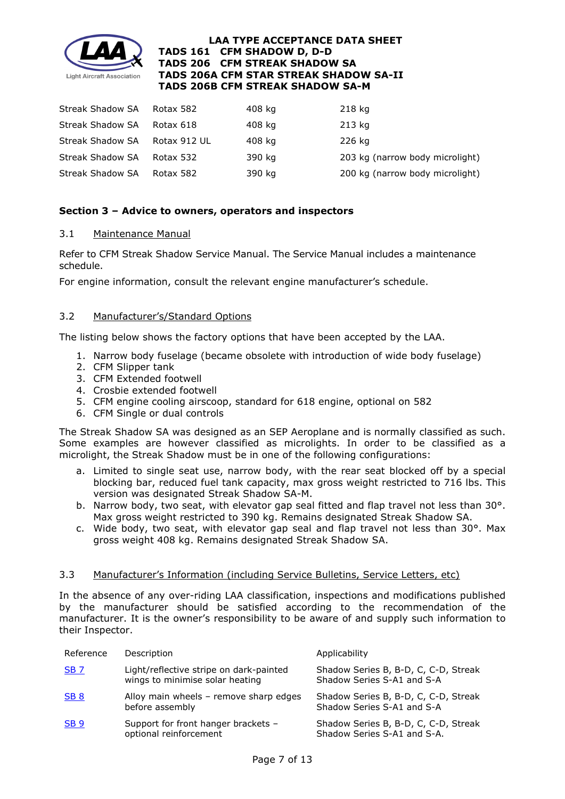

| Streak Shadow SA        | Rotax 582    | 408 kg | 218 kg                          |
|-------------------------|--------------|--------|---------------------------------|
| Streak Shadow SA        | Rotax 618    | 408 kg | 213 kg                          |
| <b>Streak Shadow SA</b> | Rotax 912 UL | 408 kg | 226 kg                          |
| Streak Shadow SA        | Rotax 532    | 390 kg | 203 kg (narrow body microlight) |
| <b>Streak Shadow SA</b> | Rotax 582    | 390 kg | 200 kg (narrow body microlight) |

# **Section 3 – Advice to owners, operators and inspectors**

### 3.1 Maintenance Manual

Refer to CFM Streak Shadow Service Manual. The Service Manual includes a maintenance schedule.

For engine information, consult the relevant engine manufacturer's schedule.

## 3.2 Manufacturer's/Standard Options

The listing below shows the factory options that have been accepted by the LAA.

- 1. Narrow body fuselage (became obsolete with introduction of wide body fuselage)
- 2. CFM Slipper tank
- 3. CFM Extended footwell
- 4. Crosbie extended footwell
- 5. CFM engine cooling airscoop, standard for 618 engine, optional on 582
- 6. CFM Single or dual controls

The Streak Shadow SA was designed as an SEP Aeroplane and is normally classified as such. Some examples are however classified as microlights. In order to be classified as a microlight, the Streak Shadow must be in one of the following configurations:

- a. Limited to single seat use, narrow body, with the rear seat blocked off by a special blocking bar, reduced fuel tank capacity, max gross weight restricted to 716 lbs. This version was designated Streak Shadow SA-M.
- b. Narrow body, two seat, with elevator gap seal fitted and flap travel not less than 30°. Max gross weight restricted to 390 kg. Remains designated Streak Shadow SA.
- c. Wide body, two seat, with elevator gap seal and flap travel not less than  $30^{\circ}$ . Max gross weight 408 kg. Remains designated Streak Shadow SA.

### 3.3 Manufacturer's Information (including Service Bulletins, Service Letters, etc)

In the absence of any over-riding LAA classification, inspections and modifications published by the manufacturer should be satisfied according to the recommendation of the manufacturer. It is the owner's responsibility to be aware of and supply such information to their Inspector.

| Reference       | Description                                                                | Applicability                                                       |
|-----------------|----------------------------------------------------------------------------|---------------------------------------------------------------------|
| <b>SB7</b>      | Light/reflective stripe on dark-painted<br>wings to minimise solar heating | Shadow Series B, B-D, C, C-D, Streak<br>Shadow Series S-A1 and S-A  |
| SB <sub>8</sub> | Alloy main wheels - remove sharp edges<br>before assembly                  | Shadow Series B, B-D, C, C-D, Streak<br>Shadow Series S-A1 and S-A  |
| SB <sub>9</sub> | Support for front hanger brackets -<br>optional reinforcement              | Shadow Series B, B-D, C, C-D, Streak<br>Shadow Series S-A1 and S-A. |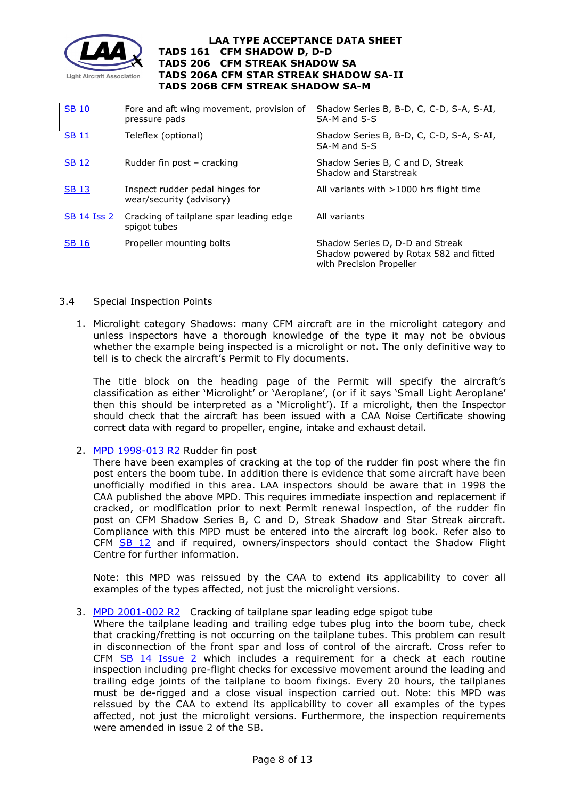

| <b>SB 10</b>       | Fore and aft wing movement, provision of<br>pressure pads   | Shadow Series B, B-D, C, C-D, S-A, S-AI,<br>SA-M and S-S                                              |
|--------------------|-------------------------------------------------------------|-------------------------------------------------------------------------------------------------------|
| <b>SB 11</b>       | Teleflex (optional)                                         | Shadow Series B, B-D, C, C-D, S-A, S-AI,<br>SA-M and S-S                                              |
| <b>SB 12</b>       | Rudder fin post - cracking                                  | Shadow Series B, C and D, Streak<br>Shadow and Starstreak                                             |
| <b>SB 13</b>       | Inspect rudder pedal hinges for<br>wear/security (advisory) | All variants with $>1000$ hrs flight time                                                             |
| <b>SB 14 Iss 2</b> | Cracking of tailplane spar leading edge<br>spigot tubes     | All variants                                                                                          |
| <b>SB 16</b>       | Propeller mounting bolts                                    | Shadow Series D, D-D and Streak<br>Shadow powered by Rotax 582 and fitted<br>with Precision Propeller |

### 3.4 Special Inspection Points

1. Microlight category Shadows: many CFM aircraft are in the microlight category and unless inspectors have a thorough knowledge of the type it may not be obvious whether the example being inspected is a microlight or not. The only definitive way to tell is to check the aircraft's Permit to Fly documents.

The title block on the heading page of the Permit will specify the aircraft's classification as either 'Microlight' or 'Aeroplane', (or if it says 'Small Light Aeroplane' then this should be interpreted as a 'Microlight'). If a microlight, then the Inspector should check that the aircraft has been issued with a CAA Noise Certificate showing correct data with regard to propeller, engine, intake and exhaust detail.

2. [MPD 1998-013 R2](http://www.lightaircraftassociation.co.uk/engineering/TADs/206/1998-013r2.pdf) Rudder fin post

There have been examples of cracking at the top of the rudder fin post where the fin post enters the boom tube. In addition there is evidence that some aircraft have been unofficially modified in this area. LAA inspectors should be aware that in 1998 the CAA published the above MPD. This requires immediate inspection and replacement if cracked, or modification prior to next Permit renewal inspection, of the rudder fin post on CFM Shadow Series B, C and D, Streak Shadow and Star Streak aircraft. Compliance with this MPD must be entered into the aircraft log book. Refer also to CFM  $SB$  12 and if required, owners/inspectors should contact the Shadow Flight Centre for further information.

Note: this MPD was reissued by the CAA to extend its applicability to cover all examples of the types affected, not just the microlight versions.

### 3. [MPD 2001-002 R2](http://www.lightaircraftassociation.co.uk/engineering/TADs/206/2001-002r2.pdf) Cracking of tailplane spar leading edge spigot tube

Where the tailplane leading and trailing edge tubes plug into the boom tube, check that cracking/fretting is not occurring on the tailplane tubes. This problem can result in disconnection of the front spar and loss of control of the aircraft. Cross refer to CFM [SB 14 Issue 2](http://www.lightaircraftassociation.co.uk/engineering/TADs/206/SB14v2.pdf) which includes a requirement for a check at each routine inspection including pre-flight checks for excessive movement around the leading and trailing edge joints of the tailplane to boom fixings. Every 20 hours, the tailplanes must be de-rigged and a close visual inspection carried out. Note: this MPD was reissued by the CAA to extend its applicability to cover all examples of the types affected, not just the microlight versions. Furthermore, the inspection requirements were amended in issue 2 of the SB.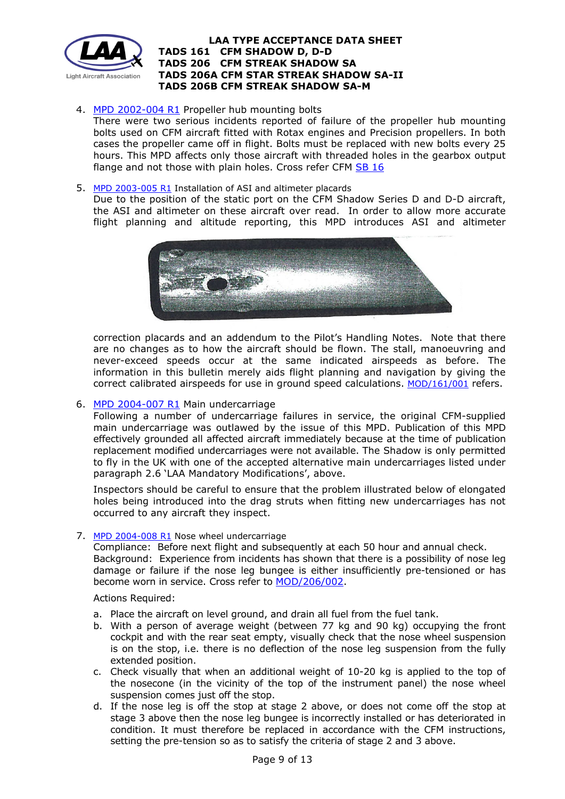

# 4. [MPD 2002-004 R1](http://www.lightaircraftassociation.co.uk/engineering/TADs/206/2002-004r1.pdf) Propeller hub mounting bolts

There were two serious incidents reported of failure of the propeller hub mounting bolts used on CFM aircraft fitted with Rotax engines and Precision propellers. In both cases the propeller came off in flight. Bolts must be replaced with new bolts every 25 hours. This MPD affects only those aircraft with threaded holes in the gearbox output flange and not those with plain holes. Cross refer CFM [SB 16](http://www.lightaircraftassociation.co.uk/engineering/TADs/206/SB16.pdf)

#### 5. [MPD 2003-005 R1](http://www.lightaircraftassociation.co.uk/engineering/TADs/206/2003-005%20R1.pdf) Installation of ASI and altimeter placards

Due to the position of the static port on the CFM Shadow Series D and D-D aircraft, the ASI and altimeter on these aircraft over read. In order to allow more accurate flight planning and altitude reporting, this MPD introduces ASI and altimeter



correction placards and an addendum to the Pilot's Handling Notes. Note that there are no changes as to how the aircraft should be flown. The stall, manoeuvring and never-exceed speeds occur at the same indicated airspeeds as before. The information in this bulletin merely aids flight planning and navigation by giving the correct calibrated airspeeds for use in ground speed calculations. [MOD/161/001](http://www.lightaircraftassociation.co.uk/engineering/TADs/206/MOD%20161%20001.pdf) refers.

### 6. [MPD 2004-007 R1](http://www.lightaircraftassociation.co.uk/engineering/TADs/206/2004-007r1.pdf) Main undercarriage

Following a number of undercarriage failures in service, the original CFM-supplied main undercarriage was outlawed by the issue of this MPD. Publication of this MPD effectively grounded all affected aircraft immediately because at the time of publication replacement modified undercarriages were not available. The Shadow is only permitted to fly in the UK with one of the accepted alternative main undercarriages listed under paragraph 2.6 'LAA Mandatory Modifications', above.

Inspectors should be careful to ensure that the problem illustrated below of elongated holes being introduced into the drag struts when fitting new undercarriages has not occurred to any aircraft they inspect.

### 7. [MPD 2004-008 R1](http://www.lightaircraftassociation.co.uk/engineering/TADs/206/2004-008r1.pdf) Nose wheel undercarriage

Compliance: Before next flight and subsequently at each 50 hour and annual check. Background: Experience from incidents has shown that there is a possibility of nose leg damage or failure if the nose leg bungee is either insufficiently pre-tensioned or has become worn in service. Cross refer to [MOD/206/002.](http://www.lightaircraftassociation.co.uk/engineering/TADs/206/MOD002.pdf)

### Actions Required:

- a. Place the aircraft on level ground, and drain all fuel from the fuel tank.
- b. With a person of average weight (between 77 kg and 90 kg) occupying the front cockpit and with the rear seat empty, visually check that the nose wheel suspension is on the stop, i.e. there is no deflection of the nose leg suspension from the fully extended position.
- c. Check visually that when an additional weight of 10-20 kg is applied to the top of the nosecone (in the vicinity of the top of the instrument panel) the nose wheel suspension comes just off the stop.
- d. If the nose leg is off the stop at stage 2 above, or does not come off the stop at stage 3 above then the nose leg bungee is incorrectly installed or has deteriorated in condition. It must therefore be replaced in accordance with the CFM instructions, setting the pre-tension so as to satisfy the criteria of stage 2 and 3 above.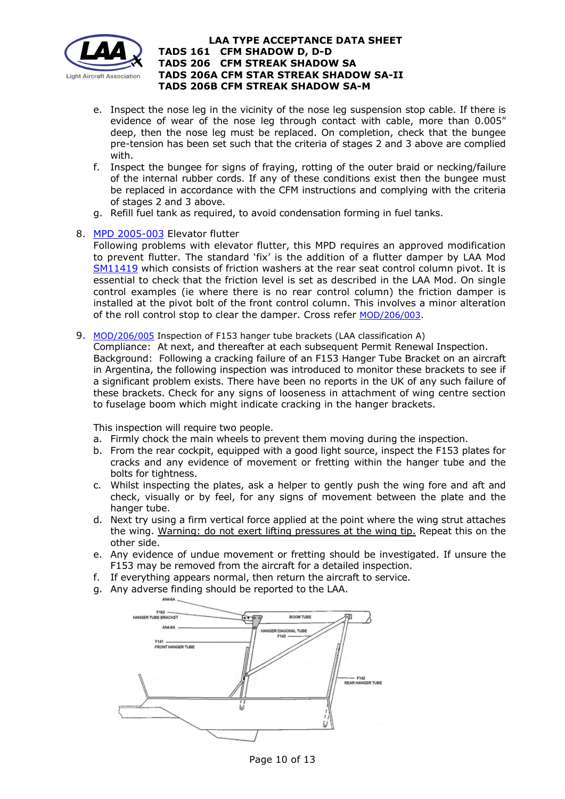

- e. Inspect the nose leg in the vicinity of the nose leg suspension stop cable. If there is evidence of wear of the nose leg through contact with cable, more than 0.005" deep, then the nose leg must be replaced. On completion, check that the bungee pre-tension has been set such that the criteria of stages 2 and 3 above are complied with.
- f. Inspect the bungee for signs of fraying, rotting of the outer braid or necking/failure of the internal rubber cords. If any of these conditions exist then the bungee must be replaced in accordance with the CFM instructions and complying with the criteria of stages 2 and 3 above.
- g. Refill fuel tank as required, to avoid condensation forming in fuel tanks.

### 8. [MPD 2005-003](http://www.lightaircraftassociation.co.uk/engineering/TADs/206/2005-003.pdf) Elevator flutter

Following problems with elevator flutter, this MPD requires an approved modification to prevent flutter. The standard 'fix' is the addition of a flutter damper by LAA Mod [SM11419](http://www.lightaircraftassociation.co.uk/engineering/TADs/206/206_CFM%20Streak%20Shadow_SM11419.pdf) which consists of friction washers at the rear seat control column pivot. It is essential to check that the friction level is set as described in the LAA Mod. On single control examples (ie where there is no rear control column) the friction damper is installed at the pivot bolt of the front control column. This involves a minor alteration of the roll control stop to clear the damper. Cross refer [MOD/206/003.](http://www.lightaircraftassociation.co.uk/engineering/TADs/206/MOD003.pdf)

9. [MOD/206/005](http://www.lightaircraftassociation.co.uk/engineering/TADs/206/MOD005.pdf) Inspection of F153 hanger tube brackets (LAA classification A)

Compliance: At next, and thereafter at each subsequent Permit Renewal Inspection. Background: Following a cracking failure of an F153 Hanger Tube Bracket on an aircraft in Argentina, the following inspection was introduced to monitor these brackets to see if a significant problem exists. There have been no reports in the UK of any such failure of these brackets. Check for any signs of looseness in attachment of wing centre section to fuselage boom which might indicate cracking in the hanger brackets.

This inspection will require two people.

- a. Firmly chock the main wheels to prevent them moving during the inspection.
- b. From the rear cockpit, equipped with a good light source, inspect the F153 plates for cracks and any evidence of movement or fretting within the hanger tube and the bolts for tightness.
- c. Whilst inspecting the plates, ask a helper to gently push the wing fore and aft and check, visually or by feel, for any signs of movement between the plate and the hanger tube.
- d. Next try using a firm vertical force applied at the point where the wing strut attaches the wing. Warning: do not exert lifting pressures at the wing tip. Repeat this on the other side.
- e. Any evidence of undue movement or fretting should be investigated. If unsure the F153 may be removed from the aircraft for a detailed inspection.
- f. If everything appears normal, then return the aircraft to service.
- g. Any adverse finding should be reported to the LAA.



Page 10 of 13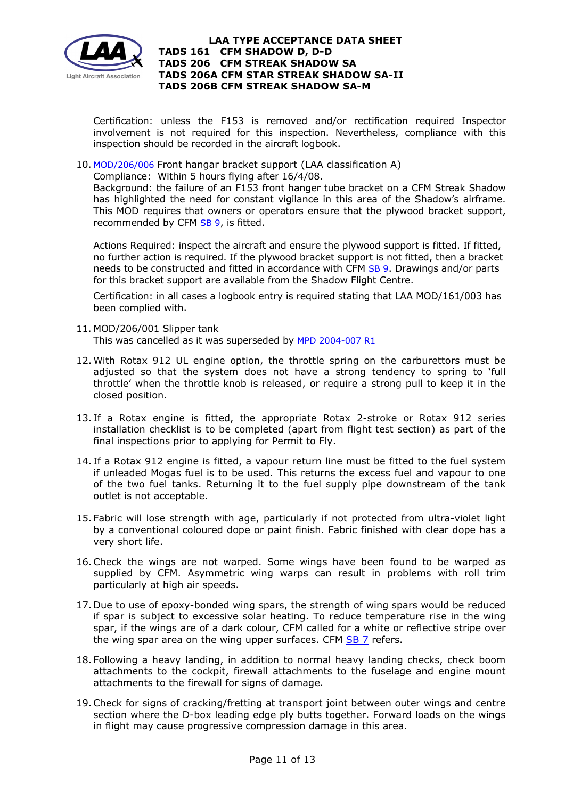

Certification: unless the F153 is removed and/or rectification required Inspector involvement is not required for this inspection. Nevertheless, compliance with this inspection should be recorded in the aircraft logbook.

10. [MOD/206/006](http://www.lightaircraftassociation.co.uk/engineering/TADs/206/MOD006.pdf) Front hangar bracket support (LAA classification A)

Compliance: Within 5 hours flying after 16/4/08.

Background: the failure of an F153 front hanger tube bracket on a CFM Streak Shadow has highlighted the need for constant vigilance in this area of the Shadow's airframe. This MOD requires that owners or operators ensure that the plywood bracket support, recommended by CFM [SB 9,](http://www.lightaircraftassociation.co.uk/engineering/TADs/206/SB9.pdf) is fitted.

Actions Required: inspect the aircraft and ensure the plywood support is fitted. If fitted, no further action is required. If the plywood bracket support is not fitted, then a bracket needs to be constructed and fitted in accordance with CFM [SB 9.](http://www.lightaircraftassociation.co.uk/engineering/TADs/206/SB9.pdf) Drawings and/or parts for this bracket support are available from the Shadow Flight Centre.

Certification: in all cases a logbook entry is required stating that LAA MOD/161/003 has been complied with.

- 11. MOD/206/001 Slipper tank This was cancelled as it was superseded by [MPD 2004-007 R1](http://www.lightaircraftassociation.co.uk/engineering/TADs/206/2004-007r1.pdf)
- 12. With Rotax 912 UL engine option, the throttle spring on the carburettors must be adjusted so that the system does not have a strong tendency to spring to 'full throttle' when the throttle knob is released, or require a strong pull to keep it in the closed position.
- 13. If a Rotax engine is fitted, the appropriate Rotax 2-stroke or Rotax 912 series installation checklist is to be completed (apart from flight test section) as part of the final inspections prior to applying for Permit to Fly.
- 14. If a Rotax 912 engine is fitted, a vapour return line must be fitted to the fuel system if unleaded Mogas fuel is to be used. This returns the excess fuel and vapour to one of the two fuel tanks. Returning it to the fuel supply pipe downstream of the tank outlet is not acceptable.
- 15. Fabric will lose strength with age, particularly if not protected from ultra-violet light by a conventional coloured dope or paint finish. Fabric finished with clear dope has a very short life.
- 16.Check the wings are not warped. Some wings have been found to be warped as supplied by CFM. Asymmetric wing warps can result in problems with roll trim particularly at high air speeds.
- 17. Due to use of epoxy-bonded wing spars, the strength of wing spars would be reduced if spar is subject to excessive solar heating. To reduce temperature rise in the wing spar, if the wings are of a dark colour, CFM called for a white or reflective stripe over the wing spar area on the wing upper surfaces. CFM  $SB$  7 refers.
- 18. Following a heavy landing, in addition to normal heavy landing checks, check boom attachments to the cockpit, firewall attachments to the fuselage and engine mount attachments to the firewall for signs of damage.
- 19.Check for signs of cracking/fretting at transport joint between outer wings and centre section where the D-box leading edge ply butts together. Forward loads on the wings in flight may cause progressive compression damage in this area.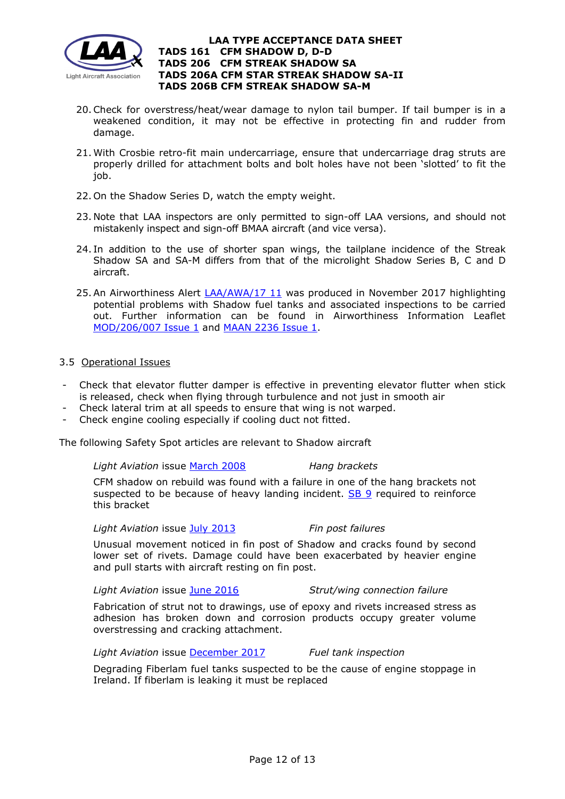

- 20.Check for overstress/heat/wear damage to nylon tail bumper. If tail bumper is in a weakened condition, it may not be effective in protecting fin and rudder from damage.
- 21. With Crosbie retro-fit main undercarriage, ensure that undercarriage drag struts are properly drilled for attachment bolts and bolt holes have not been 'slotted' to fit the job.
- 22. On the Shadow Series D, watch the empty weight.
- 23. Note that LAA inspectors are only permitted to sign-off LAA versions, and should not mistakenly inspect and sign-off BMAA aircraft (and vice versa).
- 24. In addition to the use of shorter span wings, the tailplane incidence of the Streak Shadow SA and SA-M differs from that of the microlight Shadow Series B, C and D aircraft.
- 25. An Airworthiness Alert [LAA/AWA/17 11](http://www.lightaircraftassociation.co.uk/engineering/TADs/206/cfm2017.pdf) was produced in November 2017 highlighting potential problems with Shadow fuel tanks and associated inspections to be carried out. Further information can be found in Airworthiness Information Leaflet [MOD/206/007 Issue 1](http://www.lightaircraftassociation.co.uk/engineering/TADs/206/MOD%20206%20007%20Issue%201.pdf) and [MAAN 2236 Issue 1.](http://www.lightaircraftassociation.co.uk/engineering/TADs/206/MAAN%202336%20Issue%201.pdf)

## 3.5 Operational Issues

- Check that elevator flutter damper is effective in preventing elevator flutter when stick is released, check when flying through turbulence and not just in smooth air
- Check lateral trim at all speeds to ensure that wing is not warped.
- Check engine cooling especially if cooling duct not fitted.

The following Safety Spot articles are relevant to Shadow aircraft

*Light Aviation* issue [March 2008](http://www.lightaircraftassociation.co.uk/Magazine/March08/SafetySpotMarch.pdf) *Hang brackets*

CFM shadow on rebuild was found with a failure in one of the hang brackets not suspected to be because of heavy landing incident. [SB 9](http://www.lightaircraftassociation.co.uk/engineering/TADs/206/SB9.pdf) required to reinforce this bracket

*Light Aviation* issue [July 2013](http://www.lightaircraftassociation.co.uk/2013/Magazine/July/safety_spot_jul.pdf) *Fin post failures*

Unusual movement noticed in fin post of Shadow and cracks found by second lower set of rivets. Damage could have been exacerbated by heavier engine and pull starts with aircraft resting on fin post.

*Light Aviation* issue [June 2016](http://www.lightaircraftassociation.co.uk/2016/Magazine/June/safety_spot.pdf) *Strut/wing connection failure*

Fabrication of strut not to drawings, use of epoxy and rivets increased stress as adhesion has broken down and corrosion products occupy greater volume overstressing and cracking attachment.

*Light Aviation* issue [December 2017](http://www.lightaircraftassociation.co.uk/2017/Magazine/Dec/SafetyDec.pdf) *Fuel tank inspection*

Degrading Fiberlam fuel tanks suspected to be the cause of engine stoppage in Ireland. If fiberlam is leaking it must be replaced